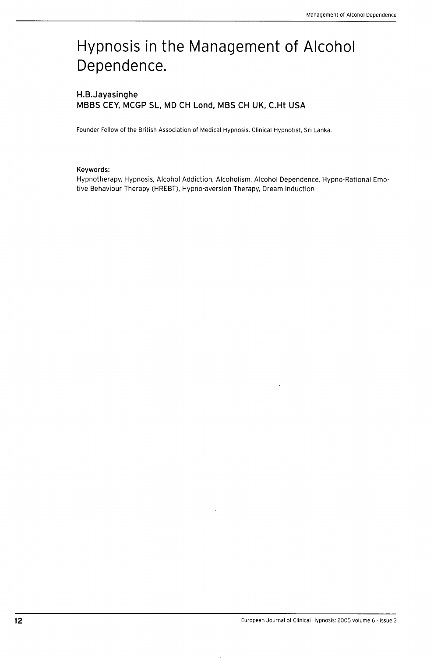# Hypnosis in the Management of Alcohol Dependence.

## H.B.Jayasinghe MBBS CEY, MCGP SL, MD CH Lond, MBS CH UK, C.Ht USA

Founder Fellow of the British Association of Medical Hypnosis, Clinical Hypnotist, Sri Lanka,

#### **Keywords:**

Hypnotherapy, Hypnosis, Alcohol Addiction, Alcoholism, Aicohoi Dependence, Hypno-Rationai Emotive Behaviour Therapy (HREBT), Hypno-aversion Therapy, Dream induction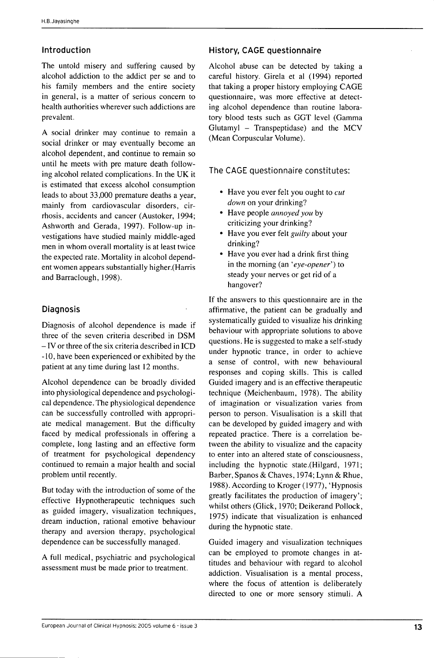## Introduction

The untold misery and suffering caused by alcohol addiction to the addict per se and to his family members and the entire society in general, is a matter of serious concern to health authorities wherever such addictions are prevalent,

A social drinker may continue to remain a social drinker or may eventually become an alcohol dependent, and continue to remain so until he meets with pre mature death following alcohol related complications. In the UK it is estimated that excess alcohol consumption leads to about 33,000 premature deaths a year, mainly from cardiovascular disorders, cirrhosis, accidents and cancer (Austoker, 1994; Ashworth and Gerada, 1997), Follow-up investigations have studied mainly middle-aged men in whom overall mortality is at least twice the expected rate. Mortality in alcohol dependent women appears substantially higher,(Harris and Barraclough, 1998),

## Diagnosis

Diagnosis of alcohol dependence is made if three of the seven criteria described in DSM - IV or three of the six criteria described in ICD -10, have been experienced or exhibited by the patient at any time during last 12 months.

Alcohol dependence can be broadly divided into physiological dependence and psychological dependence. The physiological dependence can be successfully controlled with appropriate medical management. But the difficulty faced by medical professionals in offering a complete, long lasting and an effective form of treatment for psychological dependency continued to remain a major health and social problem until recently.

But today with the introduction of some of the effective Hypnotherapeutic techniques such as guided imagery, visualization techniques, dream induction, rational emotive behaviour therapy and aversion therapy, psychological dependence can be successfully managed,

A full medical, psychiatric and psychological assessment must be made prior to treatment.

## History, CAGE questionnaire

Alcohol abuse can be detected by taking a careful history, Girela et al (1994) reported that taking a proper history employing CAGE questionnaire, was more effective at detecting alcohol dependence than routine laboratory blood tests such as GGT level (Gamma Glutamyl - Transpeptidase) and the MCV (Mean Corpuscular Volume),

The CAGE questionnaire constitutes:

- Have you ever felt you ought to *cut down* on your drinking?
- Have people *annoyed you* by criticizing your drinking?
- Have you ever felt *guilty* about your drinking?
- Have you ever had a drink first thing in the morning (an *'eye-opener')* to steady your nerves or get rid of a hangover?

If the answers to this questionnaire are in the affirmative, the patient can be gradually and systematically guided to visualize his drinking behaviour with appropriate solutions to above questions. He is suggested to make a self-study under hypnotic trance, in order to achieve a sense of control, with new behavioural responses and coping skills. This is called Guided imagery and is an effective therapeutic technique (Meichenbaum, 1978), The ability of imagination or visualization varies from person to person. Visualisation is a skill that can be developed by guided imagery and with repeated practice. There is a correlation between the ability to visualize and the capacity to enter into an altered state of consciousness, including the hypnotic state,(Hilgard, 1971; Barber, Spanos & Chaves, 1974; Lynn & Rhue, 1988), According to Kroger (1977), 'Hypnosis greatly facilitates the production of imagery'; whilst others (Glick, 1970; Deikerand Pollock, 1975) indicate that visualization is enhanced during the hypnotic state.

Guided imagery and visualization techniques can be employed to promote changes in attitudes and behaviour with regard to alcohol addiction. Visualisation is a mental process, where the focus of attention is deliberately directed to one or more sensory stimuli, A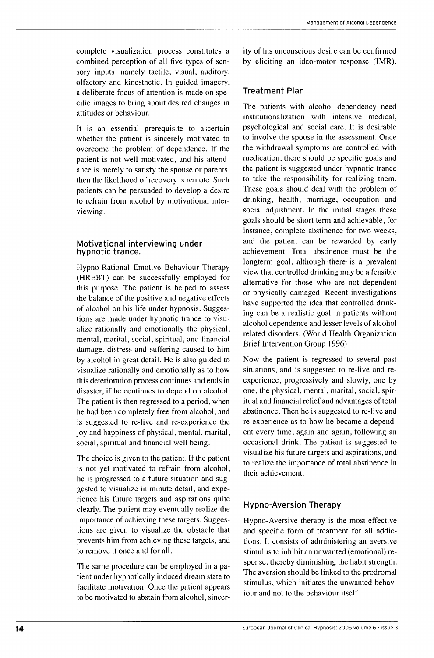complete visualization process constitutes a combined perception of all five types of sensory inputs, namely tactile, visual, auditory, olfactory and kinesthetic. In guided imagery, a deliberate focus of attention is made on specific images to bring about desired changes in attitudes or behaviour.

It is an essential prerequisite to ascertain whether the patient is sincerely motivated to overcome the problem of dependence. If the patient is not well motivated, and his attendance is merely to satisfy the spouse or parents, then the likelihood of recovery is remote. Such patients can be persuaded to develop a desire to refrain from alcohol by motivational interviewing.

#### Motivational interviewing under hypnotic trance.

Hypno-Rational Emotive Behaviour Therapy (HREBT) can be successfully employed for this purpose. The patient is helped to assess the balance of the positive and negative effects of alcohol on his life under hypnosis. Suggestions are made under hypnotic trance to visualize rationally and emotionally the physical, mental, marital, social, spiritual, and financial damage, distress and suffering caused to him by alcohol in great detail. He is also guided to visualize rationally and emotionally as to how this deterioration process continues and ends in disaster, if he continues to depend on alcohol. The patient is then regressed to a period, when he had been completely free from alcohol, and is suggested to re-live and re-experience the joy and happiness of physical, mental, marital, social, spiritual and financial well being.

The choice is given to the patient. If the patient is not yet motivated to refrain from alcohol, he is progressed to a future situation and suggested to visualize in minute detail, and experience his future targets and aspirations quite clearly. The patient may eventually realize the importance of achieving these targets. Suggestions are given to visualize the obstacle that prevents him from achieving these targets, and to remove it once and for all.

The same procedure can be employed in a patient under hypnotically induced dream state to facilitate motivation. Once the patient appears to be motivated to abstain from alcohol, sincer-

ity of his unconscious desire can be confirmed by eliciting an ideo-motor response (IMR),

## Treatment Plan

The patients with alcohol dependency need institutionalization with intensive medical, psychological and social care. It is desirable to involve the spouse in the assessment. Once the withdrawal symptoms are controlled with medication, there should be specific goals and the patient is suggested under hypnotic trance to take the responsibility for realizing them. These goals should deal with the problem of drinking, health, marriage, occupation and social adjustment. In the initial stages these goals should be short term and achievable, for instance, complete abstinence for two weeks, and the patient can be rewarded by early achievement. Total abstinence must be the longterm goal, although there is a prevalent view that controlled drinking may be a feasible alternative for those who are not dependent or physically damaged. Recent investigations have supported the idea that controlled drinking can be a realistic goal in patients without alcohol dependence and lesser levels of alcohol related disorders, (World Health Organization Brief Intervention Group 1996)

Now the patient is regressed to several past situations, and is suggested to re-live and reexperience, progressively and slowly, one by one, the physical, mental, marital, social, spiritual and financial relief and advantages of total abstinence. Then he is suggested to re-live and re-experience as to how he became a dependent every time, again and again, following an occasional drink. The patient is suggested to visualize his future targets and aspirations, and to realize the importance of total abstinence in their achievement.

### Hypno-Aversion Therapy

Hypno-Aversive therapy is the most effective and specific form of treatment for all addictions. It consists of administering an aversive stimulus to inhibit an unwanted (emotional) response, thereby diminishing the habit strength. The aversion should be linked to the prodromal stimulus, which initiates the unwanted behaviour and not to the behaviour itself.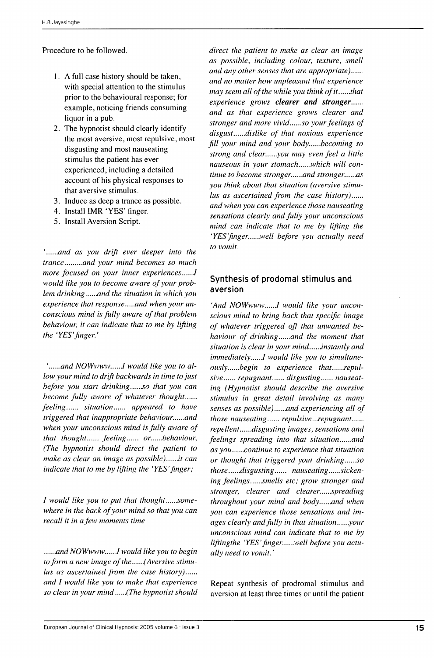Procedure to be followed,

- 1, A full case history should be taken, with special attention to the stimulus prior to the behavioural response; for example, noticing friends consuming liquor in a pub,
- 2, The hypnotist should clearly identify the most aversive, most repulsive, most disgusting and most nauseating stimulus the patient has ever experienced, including a detailed account of his physical responses to that aversive stimulus,
- 3, Induce as deep a trance as possible,
- 4, Install IMR 'YES' finger,
- 5, Install Aversion Script,

' *and as you drift ever deeper into the trance and your mind becomes so much more focused on your inner experiences......I would like you to become aware of your problem drinking......and the situation in which you* experience that response ....and when your un*conscious mind is fully aware of that problem behaviour, it can indicate that to me by lifting the 'YES'finger.'*

'......and NOWwww......I would like you to al*low your mind to drift backwards in time to just before you start drinking......so that you can become fully aware of whatever thought feeling...... situation...... appeared to have triggered that inappropriate behaviour. and when your unconscious mind is fully aware of that thought...... feeling...... or......behaviour, (The hypnotist should direct the patient to make as clear an image as possible)* // *can indicate that to me by lifting the 'YES'finger;*

*I* would like you to put that thought......some*where in the back of your mind so that you can recall it in a few moments time.*

*and NO Wwww* / *would like you to begin* to form a new image of the......(Aversive stimu*lus as ascertained ftom the case history) and I would like you to make that experience so clear in your mind (The hypnotist should*

*direct the patient to make as clear an image as possible, including colour, texture, smell and any other senses that are appropriate) and no matter how unpleasant that experience may seem all of the while you think of it......that experience grows clearer and stronger and as that experience grows clearer and stronger and more vivid......so your feelings of* disgust......dislike of that noxious experience *fill your mind and your body.....becoming so strong and clear......you may even feel a little nauseous in your stomach......which will continue to become stronger......and stronger......as you think about that situation (aversive stimulus as ascertained ftom the case history) and when you can experience those nauseating sensations clearly and fully your unconscious mind can indicate that to me by lifting the 'YES'ftnger. well before you actually need to vomit.*

## Synthesis of prodomal stimulus and aversion

'And NOWwww......I would like your uncon*scious mind to bring back that specific image of whatever triggered off that unwanted behaviour of drinking and the moment that* situation is clear in your mind......instantly and immediately......I would like you to simultane $ously.....*begin* to experience that.....*repul*$ sive...... repugnant...... disgusting...... nauseat*ing (Hypnotist should describe the aversive stimulus in great detail involving as many senses as possible*)......and experiencing all of *those nauseating...... repulsive...repugnant...... repellent......disgusting images, sensations and feelings spreading into that situation......and as you continue to experience that situation or thought that triggered your drinking......so* those......disgusting...... nauseating......sickening feelings......smells etc; grow stronger and stronger, clearer and clearer......spreading *throughout your mind and body......and when you can experience those sensations and images clearly and fully in that situation......your unconscious mind can indicate that to me by liftingthe 'YES'finger. well before you actually need to vomit.'*

Repeat synthesis of prodromal stimulus and aversion at least three times or until the patient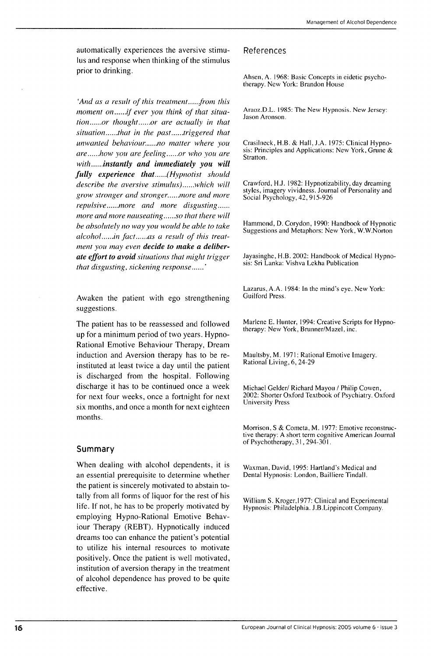automatically experiences the aversive stimulus and response when thinking of the stimulus prior to drinking.

'And as a result of this treatment.....from this *moment on.....if ever you think of that situation......or thought......or are actually in that situation......that in the past......triggered that unwanted behaviour. no matter where you are ......how you are feeling ......or who you are with instantly and immediately you will fully experience that (Hypnotist should describe the aversive stimulus*)......which will *grow stronger and stronger. more and more repulsive......more and more disgusting...... more and more nauseating .....so that there will be absolutely no way you would be able to take* alcohol......in fact......as a result of this treat*ment you may even decide to matce a deliberate effort to avoid situations that might trigger that disgusting, sickening response* '

Awaken the patient with ego strengthening suggestions.

The patient has to be reassessed and followed up for a minimum period of two years. Hypno-Rational Emotive Behaviour Therapy, Dream induction and Aversion therapy has to be reinstituted at least twice a day until the patient is discharged from the hospital. Following discharge it has to be continued once a week for next four weeks, once a fortnight for next six months, and once a month for next eighteen months.

#### Summary

When dealing with alcohol dependents, it is an essential prerequisite to determine whether the patient is sincerely motivated to abstain totally from all forms of liquor for the rest of his life. If not, he has to be properly motivated by employing Hypno-Rational Emotive Behaviour Therapy (REBT). Hypnotically induced dreams too can enhance the patient's potential to utilize his internal resources to motivate positively. Once the patient is well motivated, institution of aversion therapy in the treatment of alcohol dependence has proved to be quite effective.

#### References

Ahsen, A. 1968: Basic Concepts in eidetic psychotherapy. New York: Brandon House

Araoz.D.L. 1985: The New Hypnosis. New Jersey: Jason Aronson.

Crasiineck, H.B. & Hall, J.A. 1975: Clinical Hypnosis: Principles and Applications: New York, Grune & Stratton.

Crawford, H.J. 1982: Hypnotizability, day dreaming styles, imagery vividness. Journal of Personality and Social Psychology, 42, 915-926

Hammond, D. Corydon, 1990: Handbook of Hypnotic Suggestions and Metaphors: New York, W.W.Norton

Jayasinghe, H.B. 2002: Handbook of Medical Hypnosis: Sri Lanka: Vishva Lekha Publication

Lazarus, A.A. 1984: In the mind's eye. New York: Guilford Press.

Marlene E. Hunter, 1994: Creative Scripts for Hypnotherapy: New York, Brunner/Mazel, inc.

Maultsby, M. 1971: Rational Emotive Imagery. Rational Living, 6, 24-29

Michael Gelder/ Richard Mayou / Philip Cowen, 2002: Shorter Oxford Textbook of Psychiatry. Oxford University Press

Morrison, S & Cometa, M. 1977: Emotive reconstructive therapy: A short term cognitive American Journal of Psychotherapy, 31, 294-301.

Waxman, David, 1995: Hartland's Medical and Dental Hypnosis: London, Bailliere Tindall.

William S. Kroger,1977: Clinical and Experimental Hypnosis: Philadelphia. J.B.Lippincott Company.